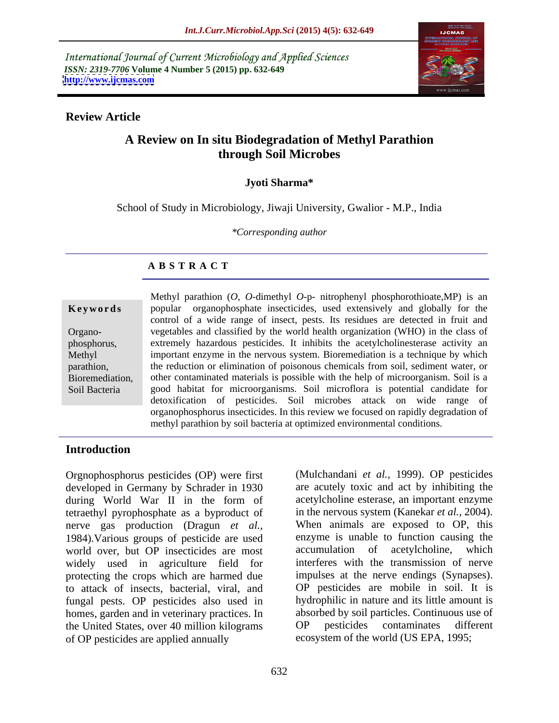International Journal of Current Microbiology and Applied Sciences *ISSN: 2319-7706* **Volume 4 Number 5 (2015) pp. 632-649 <http://www.ijcmas.com>**



### **Review Article**

### **A Review on In situ Biodegradation of Methyl Parathion through Soil Microbes**

### **Jyoti Sharma\***

School of Study in Microbiology, Jiwaji University, Gwalior - M.P., India

*\*Corresponding author*

### **A B S T R A C T**

Soil Bacteria

Methyl parathion (*O, O*-dimethyl *O*-p- nitrophenyl phosphorothioate,MP) is an **Keywords** popular organophosphate insecticides, used extensively and globally for the control of a wide range of insect, pests. Its residues are detected in fruit and vegetables and classified by the world health organization (WHO) in the class of Organo extremely hazardous pesticides. It inhibits the acetylcholinesterase activity an phosphorus, important enzyme in the nervous system. Bioremediation is a technique by which Methyl parathion, the reduction or elimination of poisonous chemicals from soil, sediment water, or Bioremediation, other contaminated materials is possible with the help of microorganism. Soil is a good habitat for microorganisms. Soil microflora is potential candidate for detoxification of pesticides. Soil microbes attack on wide range of organophosphorus insecticides. In this review we focused on rapidly degradation of methyl parathion by soil bacteria at optimized environmental conditions.

### **Introduction**

Orgnophosphorus pesticides (OP) were first developed in Germany by Schrader in 1930 during World War II in the form of tetraethyl pyrophosphate as a byproduct of nerve gas production (Dragun *et al.,* 1984).Various groups of pesticide are used enzyme is unable to function causing the world over, but OP insecticides are most accumulation of acetylcholine, which widely used in agriculture field for protecting the crops which are harmed due to attack of insects, bacterial, viral, and fungal pests. OP pesticides also used in homes, garden and in veterinary practices. In the United States, over 40 million kilograms of OP pesticides are applied annually ecosystem of the world (US EPA, 1995;

(Mulchandani *et al.,* 1999). OP pesticides are acutely toxic and act by inhibiting the acetylcholine esterase, an important enzyme in the nervous system (Kanekar *et al.,* 2004). When animals are exposed to OP, this accumulation of acetylcholine, interferes with the transmission of nerve impulses at the nerve endings (Synapses). OP pesticides are mobile in soil. It is hydrophilic in nature and its little amount is absorbed by soil particles. Continuous use of OP pesticides contaminates different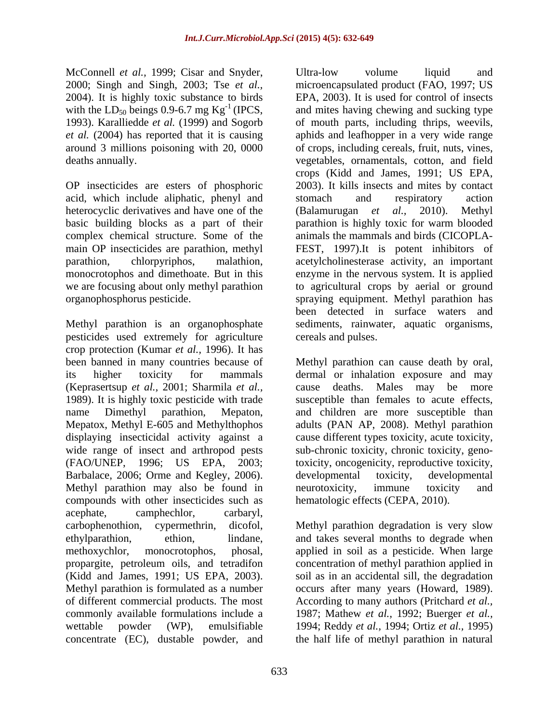McConnell *et al.,* 1999; Cisar and Snyder, 2000; Singh and Singh, 2003; Tse *et al.,* 2004). It is highly toxic substance to birds<br>with the  $LD_{50}$  beings 0.9-6.7 mg  $Kg^{-1}$  (IPCS,

acid, which include aliphatic, phenyl and stomach and respiratory action heterocyclic derivatives and have one of the (Balamurugan *et al.*, 2010). Methyl complex chemical structure. Some of the

pesticides used extremely for agriculture crop protection (Kumar *et al.,* 1996). It has been banned in many countries because of Methyl parathion can cause death by oral, its higher toxicity for mammals dermal or inhalation exposure and may (Keprasertsup *et al.,* 2001; Sharmila *et al.,* 1989). It is highly toxic pesticide with trade susceptible than females to acute effects, name Dimethyl parathion, Mepaton, and children are more susceptible than Mepatox, Methyl E-605 and Methylthophos adults (PAN AP, 2008). Methyl parathion displaying insecticidal activity against a cause different types toxicity, acute toxicity, wide range of insect and arthropod pests sub-chronic toxicity, chronic toxicity, geno-(FAO/UNEP, 1996; US EPA, 2003; toxicity, oncogenicity, reproductive toxicity, Barbalace, 2006; Orme and Kegley, 2006). developmental toxicity, developmental Methyl parathion may also be found in meurotoxicity, immune toxicity and compounds with other insecticides such as acephate, camphechlor, carbaryl, carbophenothion, cypermethrin, dicofol, Methyl parathion degradation is very slow ethylparathion, ethion, lindane, and takes several months to degrade when methoxychlor, monocrotophos, phosal, applied in soil as a pesticide. When large propargite, petroleum oils, and tetradifon concentration of methyl parathion applied in (Kidd and James, 1991; US EPA, 2003). soil as in an accidental sill, the degradation Methyl parathion is formulated as a number occurs after many years(Howard, 1989). of different commercial products. The most According to many authors (Pritchard *et al.,* commonly available formulations include a 1987; Mathew *et al.,* 1992; Buerger *et al.,* wettable powder (WP), emulsifiable 1994; Reddy *et al.,* 1994; Ortiz *et al.,*1995) concentrate (EC), dustable powder, and the half life of methyl parathion in natural

with the  $LD_{50}$  beings 0.9-6.7 mg  $Kg^{-1}$  (IPCS, and mites having chewing and sucking type 1993). Karalliedde *et al.* (1999) and Sogorb of mouth parts, including thrips, weevils, *et al.* (2004) has reported that it is causing aphids and leafhopper in a very wide range around 3 millions poisoning with 20, 0000 of crops, including cereals, fruit, nuts, vines, deaths annually. vegetables, ornamentals, cotton, and field OP insecticides are esters of phosphoric 2003). It kills insects and mites by contact basic building blocks as a part of their parathion is highly toxic for warm blooded main OP insecticides are parathion, methyl FEST, 1997).It is potent inhibitors of parathion, chlorpyriphos, malathion, acetylcholinesterase activity, an important monocrotophos and dimethoate. But in this enzyme in the nervous system. It is applied we are focusing about only methyl parathion to agricultural crops by aerial or ground organophosphorus pesticide. spraying equipment. Methyl parathion has Methyl parathion is an organophosphate sediments, rainwater, aquatic organisms, Ultra-low volume liquid and microencapsulated product (FAO, 1997; US EPA, 2003). It is used for control of insects crops (Kidd and James, 1991; US EPA, stomach and respiratory action (Balamurugan *et* animals the mammals and birds (CICOPLA been detected in surface waters and cereals and pulses.

> deaths. Males may be more developmental toxicity, developmental neurotoxicity, immune toxicity and hematologic effects (CEPA, 2010).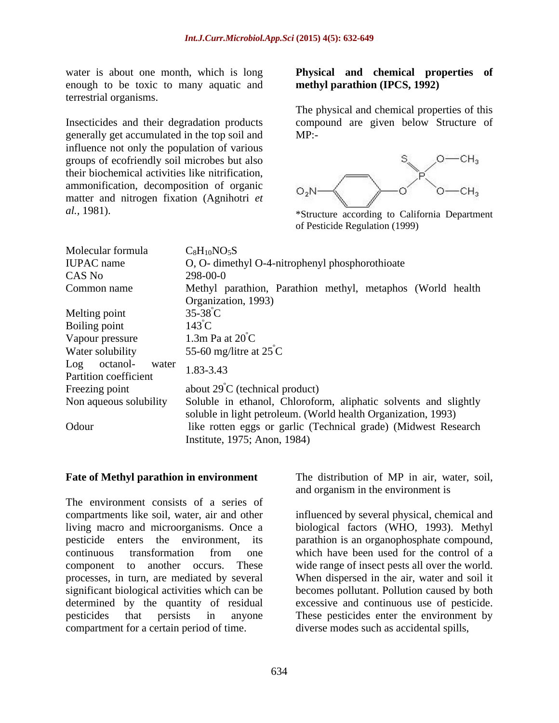enough to be toxic to many aquatic and terrestrial organisms.

Insecticides and their degradation products compound are given below Structure of generally get accumulated in the top soil and influence not only the population of various groups of ecofriendly soil microbes but also  $S_{\text{av}} = 0$   $\rightarrow$   $\text{CH}_3$ their biochemical activities like nitrification, ammonification, decomposition of organic  $O_2N$ matter and nitrogen fixation (Agnihotri *et* 

### water is about one month, which is long **Physical and chemical properties of methyl parathion (IPCS, 1992)**

The physical and chemical properties of this MP:-



*al.,* 1981). \*Structure according to California Department of Pesticide Regulation (1999)

| Molecular formula                           | $C_8H_{10}NO_5S$                                                                               |
|---------------------------------------------|------------------------------------------------------------------------------------------------|
| <b>IUPAC</b> name                           | O, O- dimethyl O-4-nitrophenyl phosphorothioate                                                |
| CAS No                                      | 298-00-0                                                                                       |
| Common name                                 | Methyl parathion, Parathion methyl, metaphos (World health                                     |
|                                             | Organization, 1993)                                                                            |
| Melting point                               | $35-38$ <sup>°</sup> C                                                                         |
| Boiling point                               | $143^{\circ}$ C                                                                                |
| Vapour pressure                             | 1.3m Pa at $20^{\circ}$ C                                                                      |
| Water solubility                            | 55-60 mg/litre at $25^{\circ}$ C                                                               |
| Log octanol- water<br>Partition coefficient | 1.83-3.43                                                                                      |
| Freezing point                              | about $29^{\circ}$ C (technical product)                                                       |
| Non aqueous solubility                      | Soluble in ethanol, Chloroform, aliphatic solvents and slightly                                |
|                                             | soluble in light petroleum. (World health Organization, 1993)                                  |
| Odour                                       | like rotten eggs or garlic (Technical grade) (Midwest Research<br>Institute, 1975; Anon, 1984) |

The environment consists of a series of compartments like soil, water, air and other influenced by several physical, chemical and living macro and microorganisms. Once a pesticide enters the environment, its parathion is an organophosphate compound, continuous transformation from one which have been used for the control of a component to another occurs. These wide range of insect pests all over the world. processes, in turn, are mediated by several significant biological activities which can be becomes pollutant. Pollution caused by both determined by the quantity of residual excessive and continuous use of pesticide. pesticides that persists in anyone These pesticides enter the environment by compartment for a certain period of time.

**Fate of Methyl parathion in environment** The distribution of MP in air, water, soil, and organism in the environment is

> biological factors (WHO, 1993). Methyl When dispersed in the air, water and soil it diverse modes such as accidental spills,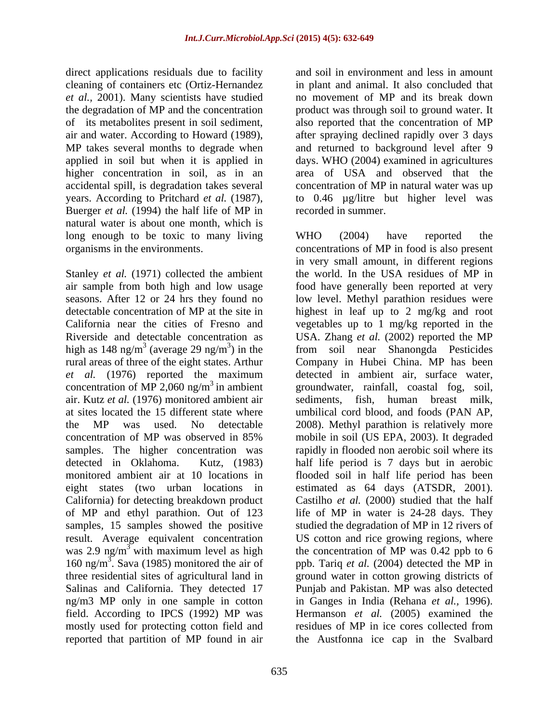direct applications residuals due to facility et *al.*, 2001). Many scientists have studied higher concentration in soil, as in an accidental spill, is degradation takes several Buerger *et al.* (1994) the half life of MP in natural water is about one month, which is long enough to be toxic to many living WHO (2004) have reported the

high as  $148 \text{ ng/m}^3$  (average 29 ng/m<sup>3</sup>) in the air. Kutz *et al.* (1976) monitored ambient air ng/m3 MP only in one sample in cotton reported that partition of MP found in air the Austfonna ice cap in the Svalbard

cleaning of containers etc (Ortiz-Hernandez in plant and animal. It also concluded that the degradation of MP and the concentration product was through soil to ground water. It of its metabolites present in soil sediment, also reported that the concentration of MP air and water. According to Howard (1989), after spraying declined rapidly over 3 days MP takes several months to degrade when and returned to background level after 9 applied in soil but when it is applied in days. WHO (2004) examined in agricultures years. According to Pritchard *et al.* (1987), to 0.46 µg/litre but higher level was and soil in environment and less in amount no movement of MP and its break down area of USA and observed that the concentration of MP in natural water was up recorded in summer.

organisms in the environments. concentrations of MP in food is also present Stanley *et al.* (1971) collected the ambient the world. In the USA residues of MP in air sample from both high and low usage food have generally been reported at very seasons. After 12 or 24 hrs they found no low level. Methyl parathion residues were detectable concentration of MP at the site in highest in leaf up to 2 mg/kg and root California near the cities of Fresno and vegetables up to 1 mg/kg reported in the Riverside and detectable concentration as USA. Zhang *et al.* (2002) reported the MP <sup>3</sup> (average 29 ng/m<sup>3</sup>) in the from soil near Shanongda Pesticides rural areas of three of the eight states. Arthur Company in Hubei China. MP has been *et al.* (1976) reported the maximum detected in ambient air, surface water, concentration of MP 2,060 ng/m<sup>3</sup> in ambient groundwater, rainfall, coastal fog, soil, at sites located the 15 different state where umbilical cord blood, and foods (PAN AP, the MP was used. No detectable 2008). Methyl parathion is relatively more concentration of MP was observed in 85% samples. The higher concentration was rapidly in flooded non aerobic soil where its detected in Oklahoma. Kutz, (1983) half life period is 7 days but in aerobic monitored ambient air at 10 locations in flooded soil in half life period has been eight states (two urban locations in estimated as 64 days (ATSDR, 2001). California) for detecting breakdown product Castilho *et al.* (2000) studied that the half of MP and ethyl parathion. Out of 123 life of MP in water is 24-28 days. They samples, 15 samples showed the positive studied the degradation of MP in 12 rivers of result. Average equivalent concentration US cotton and rice growing regions, where was 2.9 ng/m<sup>3</sup> with maximum level as high the concentration of MP was 0.42 ppb to 6 160 ng/m 3 . Sava (1985) monitored the air of ppb. Tariq *et al.* (2004) detected the MP in three residential sites of agricultural land in ground water in cotton growing districts of Salinas and California. They detected 17 Punjab and Pakistan. MP was also detected field. According to IPCS (1992) MP was Hermanson *et al.* (2005) examined the mostly used for protecting cotton field and residues of MP in ice cores collected from WHO (2004) have reported the in very small amount, in different regions sediments, fish, human breast milk, mobile in soil (US EPA, 2003). It degraded in Ganges in India (Rehana *et al.,* 1996).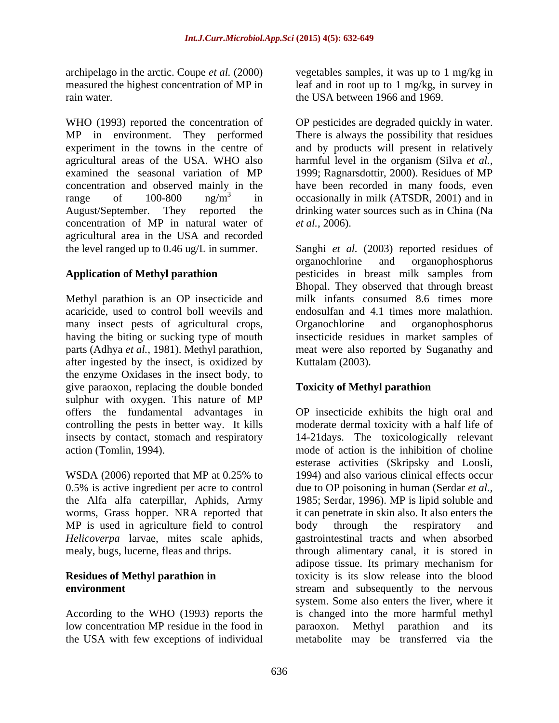rain water. the USA between 1966 and 1969.

WHO (1993) reported the concentration of OP pesticides are degraded quickly in water. MP in environment. They performed There is always the possibility that residues experiment in the towns in the centre of and by products will present in relatively agricultural areas of the USA. WHO also harmful level in the organism (Silva *et al.,* examined the seasonal variation of MP 1999; Ragnarsdottir, 2000). Residues of MP concentration and observed mainly in the have been recorded in many foods, even range of  $100-800$  ng/m<sup>3</sup> in occasionally in milk (ATSDR, 2001) and in August/September. They reported the drinking water sources such as in China (Na concentration of MP in natural water of *et al.*, 2006). agricultural area in the USA and recorded the level ranged up to 0.46 ug/L in summer.

Methyl parathion is an OP insecticide and acaricide, used to control boll weevils and many insect pests of agricultural crops, Organochlorine and organophosphorus parts (Adhya *et al.,* 1981). Methyl parathion, after ingested by the insect, is oxidized by the enzyme Oxidases in the insect body, to give paraoxon, replacing the double bonded sulphur with oxygen. This nature of MP controlling the pests in better way. It kills

WSDA (2006) reported that MP at 0.25% to worms, Grass hopper. NRA reported that MP is used in agriculture field to control body through the respiratory and

According to the WHO (1993) reports the low concentration MP residue in the food in paraoxon. Methyl parathion and its the USA with few exceptions of individual metabolite may be transferred via the

archipelago in the arctic. Coupe *et al.* (2000) vegetables samples, it was up to 1 mg/kg in measured the highest concentration of MP in leaf and in root up to 1 mg/kg, in survey in

*et al.,* 2006).

**Application of Methyl parathion**  pesticides in breast milk samples from having the biting or sucking type of mouth insecticide residues in market samples of Sanghi *et al.* (2003) reported residues of organochlorine and organophosphorus Bhopal. They observed that through breast milk infants consumed 8.6 times more endosulfan and 4.1 times more malathion. Organochlorine and organophosphorus meat were also reported by Suganathy and Kuttalam (2003).

### **Toxicity of Methyl parathion**

offers the fundamental advantages in OP insecticide exhibits the high oral and insects by contact, stomach and respiratory 14-21days. The toxicologically relevant action (Tomlin, 1994). mode of action is the inhibition of choline 0.5% is active ingredient per acre to control due to OP poisoning in human (Serdar *et al.,* the Alfa alfa caterpillar, Aphids, Army 1985; Serdar, 1996). MP is lipid soluble and *Helicoverpa* larvae, mites scale aphids, gastrointestinal tracts and when absorbed mealy, bugs, lucerne, fleas and thrips. through alimentary canal, it is stored in **Residues of Methyl parathion in** toxicity is its slow release into the blood **environment** stream and subsequently to the nervous moderate dermal toxicity with a half life of esterase activities (Skripsky and Loosli, 1994) and also various clinical effects occur it can penetrate in skin also. It also enters the body through the respiratory and adipose tissue. Its primary mechanism for system. Some also enters the liver, where it is changed into the more harmful methyl paraoxon. Methyl parathion and its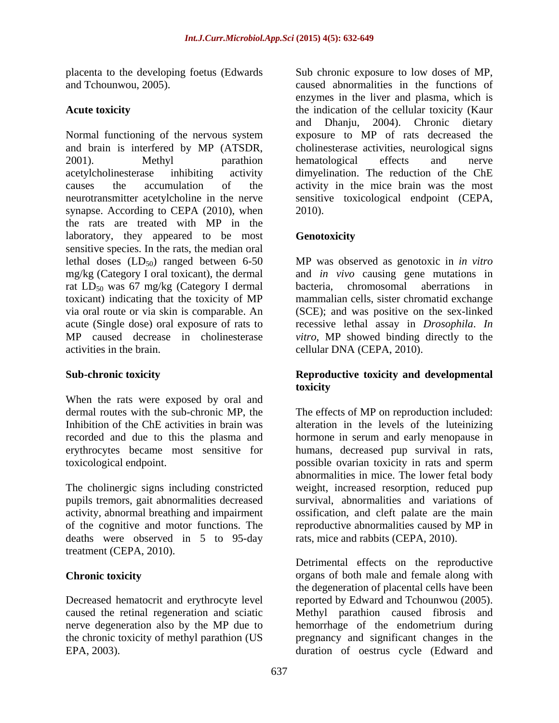placenta to the developing foetus (Edwards and Tchounwou, 2005). caused abnormalities in the functions of

Normal functioning of the nervous system and brain is interfered by MP (ATSDR, cholinesterase activities, neurological signs 2001). Methyl parathion hematological effects and nerve acetylcholinesterase inhibiting activity dimyelination. The reduction of the ChE causes the accumulation of the activity in the mice brain was the most neurotransmitter acetylcholine in the nerve sensitive toxicological endpoint (CEPA, synapse. According to CEPA (2010), when  $2010$ ). the rats are treated with MP in the laboratory, they appeared to be most **Genotoxicity** sensitive species. In the rats, the median oral lethal doses (LD<sub>50</sub>) ranged between 6-50 MP was observed as genotoxic in *in vitro* mg/kg (Category I oral toxicant), the dermal and *in vivo* causing gene mutations in rat LD<sub>50</sub> was 67 mg/kg (Category I dermal bacteria, chromosomal aberrations in toxicant) indicating that the toxicity of MP via oral route or via skin is comparable. An (SCE); and was positive on the sex-linked acute (Single dose) oral exposure of rats to recessive lethal assay in *Drosophila*. *In*  MP caused decrease in cholinesterase *vitro*, MP showed binding directly to the activities in the brain. cellular DNA (CEPA, 2010).

When the rats were exposed by oral and

pupils tremors, gait abnormalities decreased activity, abnormal breathing and impairment deaths were observed in 5 to 95-day treatment (CEPA, 2010).

Decreased hematocrit and erythrocyte level

Acute toxicity **Acute toxicity** the indication of the cellular toxicity (Kaur Sub chronic exposure to low doses of MP,<br>caused abnormalities in the functions of enzymes in the liver and plasma, which is and Dhanju, 2004). Chronic dietary exposure to MP of rats decreased the hematological effects and nerve 2010).

### **Genotoxicity**

bacteria, chromosomal aberrations in mammalian cells, sister chromatid exchange

### **Sub-chronic toxicity Reproductive toxicity and developmental toxicity**

dermal routes with the sub-chronic MP, the The effects of MP on reproduction included: Inhibition of the ChE activities in brain was alteration in the levels of the luteinizing recorded and due to this the plasma and hormone in serum and early menopause in erythrocytes became most sensitive for humans, decreased pup survival in rats, toxicological endpoint. possible ovarian toxicity in rats and sperm The cholinergic signs including constricted weight, increased resorption, reduced pup of the cognitive and motor functions. The reproductive abnormalities caused by MP in abnormalities in mice. The lower fetal body survival, abnormalities and variations of ossification, and cleft palate are the main rats, mice and rabbits (CEPA, 2010).

**Chronic toxicity** organs of both male and female along with caused the retinal regeneration and sciatic Methyl parathion caused fibrosis and nerve degeneration also by the MP due to hemorrhage of the endometrium during the chronic toxicity of methyl parathion (US pregnancy and significant changes in the EPA, 2003). duration of oestrus cycle (Edward andDetrimental effects on the reproductive the degeneration of placental cells have been reported by Edward and Tchounwou (2005).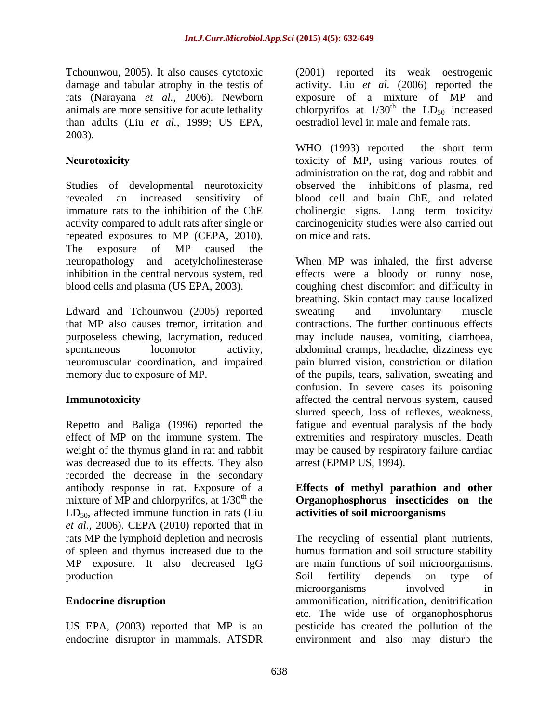Tchounwou, 2005). It also causes cytotoxic (2001) reported its weak oestrogenic than adults (Liu *et al.,* 1999; US EPA, 2003).

Studies of developmental neurotoxicity revealed an increased sensitivity of blood cell and brain ChE, and related immature rats to the inhibition of the ChE cholinergic signs. Long term toxicity/ activity compared to adult rats after single or carcinogenicity studies were also carried out repeated exposures to MP (CEPA, 2010). The exposure of MP caused the

Edward and Tchounwou (2005) reported sweating and involuntary muscle that MP also causes tremor, irritation and neuromuscular coordination, and impaired

weight of the thymus gland in rat and rabbit was decreased due to its effects. They also recorded the decrease in the secondary antibody response in rat. Exposure of a **Effects of methyl parathion and other** mixture of MP and chlorpyrifos, at 1/30<sup>th</sup> the **Organophosphorus insecticides** on the  $LD_{50}$ , affected immune function in rats (Liu *et al.,* 2006). CEPA (2010) reported that in rats MP the lymphoid depletion and necrosis MP exposure. It also decreased IgG

endocrine disruptor in mammals. ATSDR environment and also may disturb the

damage and tabular atrophy in the testis of activity. Liu *et al.* (2006) reported the rats (Narayana *et al.,* 2006). Newborn exposure of a mixture of MP and animals are more sensitive for acute lethality chlorpyrifos at  $1/30<sup>th</sup>$  the  $LD<sub>50</sub>$  increased <sup>th</sup> the  $LD_{50}$  increased oestradiol level in male and female rats.

**Neurotoxicity** toxicity of MP, using various routes of WHO (1993) reported the short term administration on the rat, dog and rabbit and observed the inhibitions of plasma, red on mice and rats.

neuropathology and acetylcholinesterase When MP was inhaled, the first adverse inhibition in the central nervous system, red effects were a bloody or runny nose, blood cells and plasma (US EPA, 2003). coughing chest discomfort and difficulty in purposeless chewing, lacrymation, reduced may include nausea, vomiting, diarrhoea, spontaneous locomotor activity, abdominal cramps, headache, dizziness eye memory due to exposure of MP.  $\qquad \qquad$  of the pupils, tears, salivation, sweating and **Immunotoxicity** affected the central nervous system, caused Repetto and Baliga (1996) reported the fatigue and eventual paralysis of the body effect of MP on the immune system. The extremities and respiratory muscles. Death breathing. Skin contact may cause localized sweating and involuntary muscle contractions. The further continuous effects pain blurred vision, constriction or dilation confusion. In severe cases its poisoning slurred speech, loss of reflexes, weakness, may be caused by respiratory failure cardiac arrest (EPMP US, 1994).

# **activities of soil microorganisms**

rats MP the lymphoid depletion and necrosis The recycling of essential plant nutrients, of spleen and thymus increased due to the humus formation and soil structure stability production and soil fertility depends on type of **Endocrine disruption ammonification, nitrification, denitrification** US EPA, (2003) reported that MP is an pesticide has created the pollution of the are main functions of soil microorganisms. Soil fertility depends on type of microorganisms involved in etc. The wide use of organophosphorus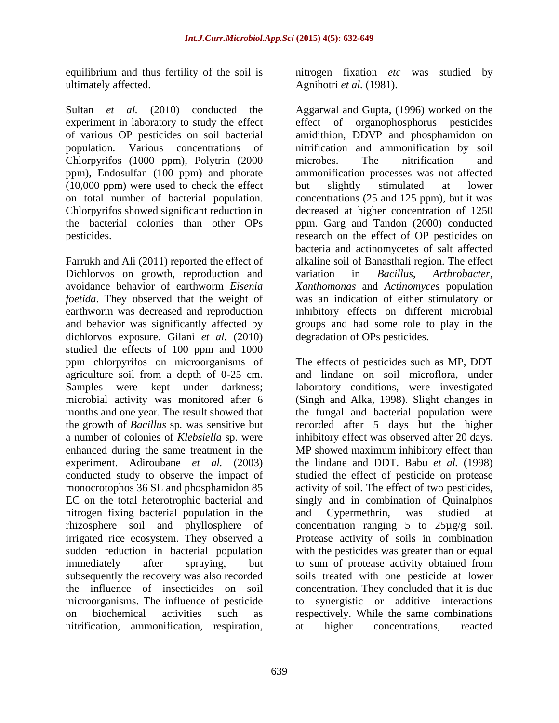ultimately affected. Agnihotri *et al.* (1981).

population. Various concentrations of Chlorpyrifos (1000 ppm), Polytrin (2000 microbes. The nitrification and ppm), Endosulfan (100 ppm) and phorate (10,000 ppm) were used to check the effect but slightly stimulated at lower

Dichlorvos on growth, reproduction and variation in Bacillus, Arthrobacter, earthworm was decreased and reproduction dichlorvos exposure. Gilani *et al.* (2010) studied the effects of 100 ppm and 1000 experiment. Adiroubane *et al.* (2003) nitrogen fixing bacterial population in the and Cypermethrin, was studied at rhizosphere soil and phyllosphere of subsequently the recovery was also recorded microorganisms. The influence of pesticide nitrification, ammonification, respiration, at higher concentrations, reacted

equilibrium and thus fertility of the soil is nitrogen fixation *etc* was studied by

Sultan *et al.* (2010) conducted the Aggarwal and Gupta, (1996) worked on the experiment in laboratory to study the effect effect of organophosphorus pesticides of various OP pesticides on soil bacterial amidithion, DDVP and phosphamidon on on total number of bacterial population. concentrations (25 and 125 ppm), but it was Chlorpyrifos showed significant reduction in decreased at higher concentration of 1250 the bacterial colonies than other OPs ppm. Garg and Tandon (2000) conducted pesticides. research on the effect of OP pesticides on Farrukh and Ali (2011) reported the effect of alkaline soil of Banasthali region. The effect avoidance behavior of earthworm *Eisenia Xanthomonas* and *Actinomyces* population *foetida*. They observed that the weight of was an indication of either stimulatory or and behavior was significantly affected by groups and had some role to play in the nitrification and ammonification by soil microbes. The nitrification and ammonification processes was not affected but slightly stimulated at lower bacteria and actinomycetes of salt affected variation in *Bacillus*, *Arthrobacter*, inhibitory effects on different microbial degradation of OPs pesticides.

ppm chlorpyrifos on microorganisms of The effects of pesticides such as MP, DDT agriculture soil from a depth of 0-25 cm. and lindane on soil microflora, under Samples were kept under darkness; laboratory conditions, were investigated microbial activity was monitored after 6 (Singh and Alka, 1998). Slight changes in months and one year. The result showed that the fungal and bacterial population were the growth of *Bacillus* sp*.* was sensitive but recorded after 5 days but the higher a number of colonies of *Klebsiella* sp. were inhibitory effectwas observed after 20 days. enhanced during the same treatment in the MP showed maximum inhibitory effect than conducted study to observe the impact of studied the effect of pesticide on protease monocrotophos 36 SL and phosphamidon 85 activity of soil. The effect of two pesticides, EC on the total heterotrophic bacterial and singly and in combination of Quinalphos irrigated rice ecosystem. They observed a Protease activity of soils in combination sudden reduction in bacterial population with the pesticides was greater than or equal immediately after spraying, but to sum of protease activity obtained from the influence of insecticides on soil concentration. They concluded that it is due on biochemical activities such as respectively. While the same combinations the lindane and DDT. Babu *et al.* (1998) and Cypermethrin, was studied at concentration ranging  $5$  to  $25\mu g/g$  soil. soils treated with one pesticide at lower synergistic or additive interactions at higher concentrations, reacted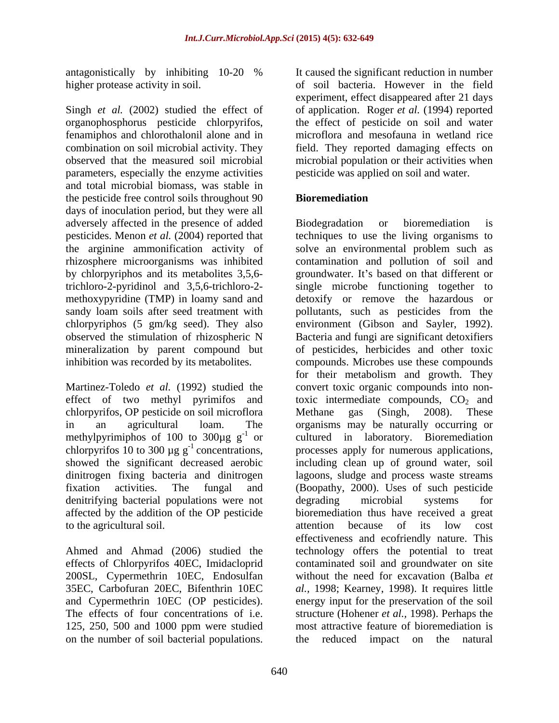Singh *et al.* (2002) studied the effect of of application. Roger *et al.* (1994) reported organophosphorus pesticide chlorpyrifos, the effect of pesticide on soil and water fenamiphos and chlorothalonil alone and in combination on soil microbial activity. They field. They reported damaging effects on observed that the measured soil microbial microbial population or their activities when parameters, especially the enzyme activities and total microbial biomass, was stable in the pesticide free control soils throughout 90 **Bioremediation** days of inoculation period, but they were all adversely affected in the presence of added

chlorpyrifos, OP pesticide on soil microflora denitrifying bacterial populations were not degrading microbial systems for to the agricultural soil. The set of the agricultural soil. The set of the set of the set of the set of the set of the set of the set of the set of the set of the set of the set of the set of the set of the set of the set

effects of Chlorpyrifos 40EC, Imidacloprid 200SL, Cypermethrin 10EC, Endosulfan on the number of soil bacterial populations. The reduced impact on the natural

antagonistically by inhibiting 10-20 % higher protease activity in soil. of soil bacteria. However in the field It caused the significant reduction in number experiment, effect disappeared after 21 days microflora and mesofauna in wetland rice pesticide was applied on soil and water.

### **Bioremediation**

pesticides. Menon *et al.* (2004) reported that techniques to use the living organisms to the arginine ammonification activity of solve an environmental problem such as rhizosphere microorganisms was inhibited contamination and pollution of soil and by chlorpyriphos and its metabolites 3,5,6- groundwater. It's based on that different or trichloro-2-pyridinol and 3,5,6-trichloro-2- single microbe functioning together to methoxypyridine (TMP) in loamy sand and detoxify or remove the hazardous or sandy loam soils after seed treatment with pollutants, such as pesticides from the chlorpyriphos (5 gm/kg seed). They also environment (Gibson and Sayler, 1992). observed the stimulation of rhizospheric N Bacteria and fungi are significant detoxifiers mineralization by parent compound but of pesticides, herbicides and other toxic inhibition was recorded by its metabolites. compounds. Microbes use these compounds Martinez-Toledo *et al.* (1992) studied the convert toxic organic compounds into noneffect of two methyl pyrimifos and toxic intermediate compounds,  $CO<sub>2</sub>$  and in an agricultural loam. The organisms may be naturally occurring or methylpyrimiphos of 100 to  $300\mu g g^{-1}$  or cultured in laboratory. Bioremediation chlorpyrifos 10 to 300  $\mu$ g g<sup>-1</sup> concentrations, processes apply for numerous applications, showed the significant decreased aerobic including clean up of ground water, soil dinitrogen fixing bacteria and dinitrogen lagoons, sludge and process waste streams fixation activities. The fungal and (Boopathy, 2000). Uses of such pesticide affected by the addition of the OP pesticide bioremediation thus have received a great Ahmed and Ahmad (2006) studied the technology offers the potential to treat 35EC, Carbofuran 20EC, Bifenthrin 10EC *al.,* 1998; Kearney, 1998). It requires little and Cypermethrin 10EC (OP pesticides). energy input for the preservation of the soil The effects of four concentrations of i.e. structure (Hohener *et al.,* 1998). Perhaps the 125, 250, 500 and 1000 ppm were studied most attractive feature of bioremediation is Biodegradation or bioremediation is for their metabolism and growth. They Methane gas (Singh, 2008). These degrading microbial systems for attention because of its low cost effectiveness and ecofriendly nature. This contaminated soil and groundwater on site without the need for excavation (Balba *et*  the reduced impact on the natural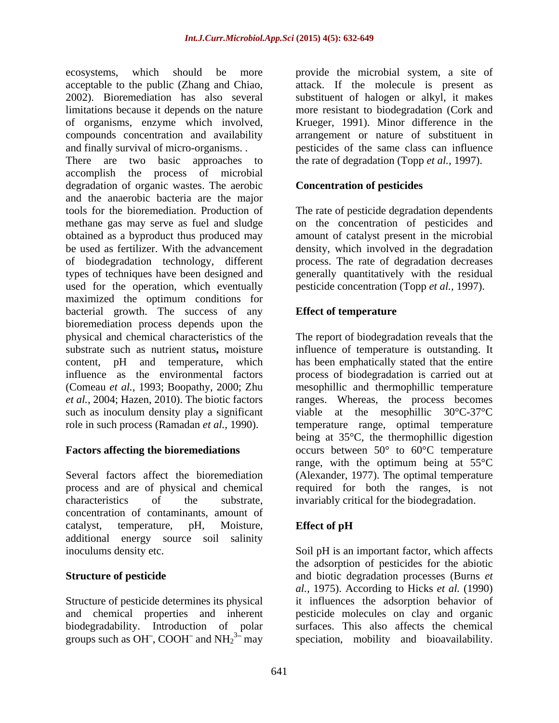ecosystems, which should be more provide the microbial system, a site of acceptable to the public (Zhang and Chiao, 2002). Bioremediation has also several substituent of halogen or alkyl, it makes limitations because it depends on the nature more resistant to biodegradation (Cork and of organisms, enzyme which involved, Krueger, 1991). Minor difference in the compounds concentration and availability arrangement or nature of substituent in

There are two basic approaches to the rate of degradation (Topp *et al.*, 1997). accomplish the process of microbial degradation of organic wastes. The aerobic and the anaerobic bacteria are the major tools for the bioremediation. Production of The rate of pesticide degradation dependents methane gas may serve as fuel and sludge on the concentration of pesticides and obtained as a byproduct thus produced may amount of catalyst present in the microbial be used as fertilizer. With the advancement density, which involved in the degradation of biodegradation technology, different process. The rate of degradation decreases types of techniques have been designed and generally quantitatively with the residual used for the operation, which eventually maximized the optimum conditions for bacterial growth. The success of any **Effect of temperature** bioremediation process depends upon the physical and chemical characteristics of the The report of biodegradation reveals that the substrate such as nutrient status**,** moisture influence of temperature is outstanding. It content, pH and temperature, which has been emphatically stated that the entire influence as the environmental factors process of biodegradation is carried out at (Comeau *et al.,* 1993; Boopathy, 2000; Zhu mesophillic and thermophillic temperature *et al.,* 2004; Hazen, 2010). The biotic factors ranges. Whereas, the process becomes such as inoculum density play a significant viable at the mesophillic  $30^{\circ}$ C-37 $^{\circ}$ C

process and are of physical and chemical characteristics of the substrate, invariably critical for the biodegradation. concentration of contaminants, amount of catalyst, temperature, pH, Moisture, Effect of pH additional energy source soil salinity

groups such as OH<sup>-</sup>, COOH<sup>-</sup> and NH<sub>2</sub><sup>3-</sup> may

and finally survival of micro-organisms. . pesticides of the same class can influence attack. If the molecule is present as

### **Concentration of pesticides**

pesticide concentration (Topp *et al.,* 1997).

### **Effect of temperature**

role in such process (Ramadan *et al.,* 1990). temperature range, optimal temperature **Factors affecting the bioremediations** occurs between 50° to 60°C temperature Several factors affect the bioremediation (Alexander, 1977). The optimal temperature being at 35°C, the thermophillic digestion range, with the optimum being at 55°C required for both the ranges, is not

### **Effect of pH**

inoculums density etc. Soil pH is an important factor, which affects **Structure of pesticide** and biotic degradation processes (Burns *et*  Structure of pesticide determines its physical it influences the adsorption behavior of and chemical properties and inherent pesticide molecules on clay and organic biodegradability. Introduction of polar surfaces. This also affects the chemical  $3\frac{1}{3}$  may speciation, mobility and bioavailability. the adsorption of pesticides for the abiotic *al.,* 1975). According to Hicks *et al.* (1990)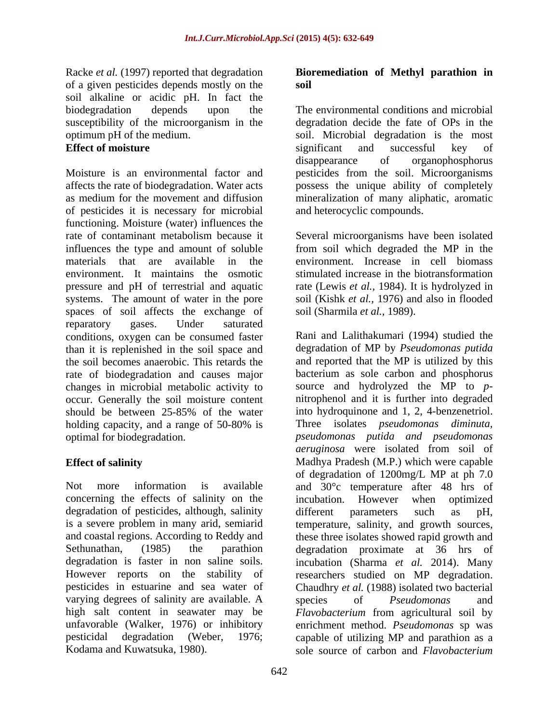Racke *et al.* (1997) reported that degradation **Bioremediation of Methyl parathion in** of a given pesticides depends mostly on the soil alkaline or acidic pH. In fact the biodegradation depends upon the The environmental conditions and microbial susceptibility of the microorganism in the degradation decide the fate of OPs in the optimum pH of the medium. soil. Microbial degradation is the most

Moisture is an environmental factor and pesticides from the soil. Microorganisms affects the rate of biodegradation. Water acts possess the unique ability of completely as medium for the movement and diffusion mineralization of many aliphatic, aromatic of pesticides it is necessary for microbial functioning. Moisture (water) influences the rate of contaminant metabolism because it Several microorganisms have been isolated influences the type and amount of soluble from soil which degraded the MP in the materials that are available in the environment. Increase in cell biomass environment. It maintains the osmotic stimulated increase in the biotransformation pressure and pH of terrestrial and aquatic rate (Lewis *et al.,* 1984). It is hydrolyzed in systems. The amount of water in the pore soil (Kishk *et al.*, 1976) and also in flooded spaces of soil affects the exchange of reparatory gases. Under saturated conditions, oxygen can be consumed faster than it is replenished in the soil space and the soil becomes anaerobic. This retards the rate of biodegradation and causes major occur. Generally the soil moisture content

concerning the effects of salinity on the incubation. However when optimized degradation of pesticides, although, salinity different parameters such as pH, varying degrees of salinity are available. A species of *Pseudomonas* and Kodama and Kuwatsuka, 1980). sole source of carbon and *Flavobacterium* 

## **soil**

**Effect of moisture** example a significant and successful key of significant and successful key of disappearance of organophosphorus and heterocyclic compounds.

soil (Sharmila *et al.,* 1989).

changes in microbial metabolic activity to source and hydrolyzed the MP to *p* should be between 25-85% of the water into hydroquinone and 1, 2, 4-benzenetriol. holding capacity, and a range of 50-80% is Three isolates *pseudomonas diminuta*, optimal for biodegradation. *pseudomonas putida and pseudomonas* **Effect of salinity** Madhya Pradesh (M.P.) which were capable Not more information is available and 30°c temperature after 48 hrs of is a severe problem in many arid, semiarid temperature, salinity, and growth sources, and coastal regions. According to Reddy and these three isolates showed rapid growth and Sethunathan, (1985) the parathion degradation proximate at 36 hrs of degradation is faster in non saline soils. incubation (Sharma *et al.* 2014). Many However reports on the stability of researchers studied on MP degradation. pesticides in estuarine and sea water of Chaudhry *et al.* (1988) isolated two bacterial high salt content in seawater may be *Flavobacterium* from agricultural soil by unfavorable (Walker, 1976) or inhibitory enrichment method. *Pseudomonas* sp was pesticidal degradation (Weber, 1976; capable of utilizing MP and parathion as a Rani and Lalithakumari (1994) studied the degradation of MP by *Pseudomonas putida* and reported that the MP is utilized by this bacterium as sole carbon and phosphorus nitrophenol and it is further into degraded into hydroquinone and 1, 2, 4-benzenetriol. Three isolates *pseudomonas diminuta, aeruginosa* were isolated from soil of of degradation of 1200mg/L MP at ph 7.0 incubation. However when optimized different parameters such as pH, species of *Pseudomonas* and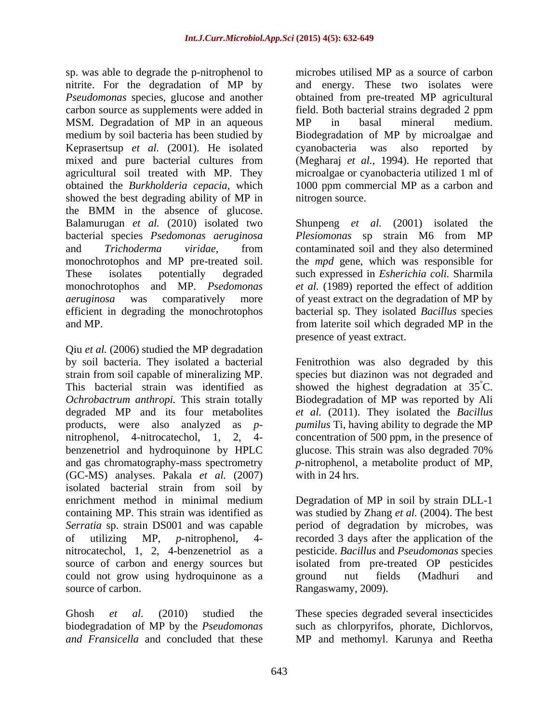sp. was able to degrade the p*-*nitrophenol to nitrite. For the degradation of MP by *Pseudomonas* species, glucose and another obtained from pre-treated MP agricultural carbon source as supplements were added in field. Both bacterial strains degraded 2 ppm MSM. Degradation of MP in an aqueous MP in basal mineral medium. medium by soil bacteria has been studied by Biodegradation of MP by microalgae and Keprasertsup *et al.* (2001). He isolated mixed and pure bacterial cultures from (Megharaj *et al.,* 1994). He reported that agricultural soil treated with MP. They microalgae or cyanobacteria utilized 1 ml of obtained the *Burkholderia cepacia,* which 1000 ppm commercial MP as a carbon and showed the best degrading ability of MP in the BMM in the absence of glucose. Balamurugan *et al.* (2010) isolated two bacterial species *Psedomonas aeruginosa Plesiomonas* sp strain M6 from MP and *Trichoderma viridae,* from contaminated soil and they also determined monochrotophos and MP pre-treated soil. the *mpd* gene, which was responsible for These isolates potentially degraded such expressed in *Esherichia coli.* Sharmila monochrotophos and MP. *Psedomonas et al.* (1989) reported the effect of addition *aeruginosa* was comparatively more of yeast extract on the degradation of MP by efficient in degrading the monochrotophos bacterial sp. They isolated *Bacillus* species and MP. from laterite soil which degraded MP in the

Qiu *et al.* (2006) studied the MP degradation by soil bacteria. They isolated a bacterial Fenitrothion was also degraded by this strain from soil capable of mineralizing MP. Species but diazinon was not degraded and This bacterial strain was identified as showed the highest degradation at  $35^{\circ}$ C. *Ochrobactrum anthropi.* This strain totally Biodegradation of MP was reported by Ali degraded MP and its four metabolites *et al.* (2011). They isolated the *Bacillus* products, were also analyzed as*p- pumilus* Ti, having ability to degrade the MP nitrophenol, 4-nitrocatechol, 1, 2, 4- concentration of 500 ppm, in the presence of benzenetriol and hydroquinone by HPLC glucose. This strain was also degraded 70% and gas chromatography-mass spectrometry *p-*nitrophenol, a metabolite product of MP, (GC-MS) analyses. Pakala *et al.* (2007) isolated bacterial strain from soil by enrichment method in minimal medium Degradation of MP in soil by strain DLL-1 containing MP. This strain was identified as was studied by Zhang *et al.* (2004). The best *Serratia* sp. strain DS001 and was capable of utilizing MP, *p-*nitrophenol, 4- recorded 3 days after the application of the nitrocatechol, 1, 2, 4-benzenetriol as a pesticide. *Bacillus* and *Pseudomonas* species source of carbon and energy sources but isolated from pre-treated OP pesticides could not grow using hydroquinone as a seround nut fields (Madhuri and source of carbon. Rangaswamy, 2009).

*and Fransicella* and concluded that these MP and methomyl. Karunya and Reetha

microbes utilised MP as a source of carbon and energy. These two isolates were MP in basal mineral medium. cyanobacteria was also reported nitrogen source.

Shunpeng *et al.* (2001) isolated the presence of yeast extract.

 $\rm^{\circ}C.$ glucose. This strain was also degraded 70% with in 24 hrs.

period of degradation by microbes, was ground nut fields (Madhuri and

Ghosh *et al.* (2010) studied the These species degraded several insecticides biodegradation of MP by the *Pseudomonas*  such as chlorpyrifos, phorate, Dichlorvos,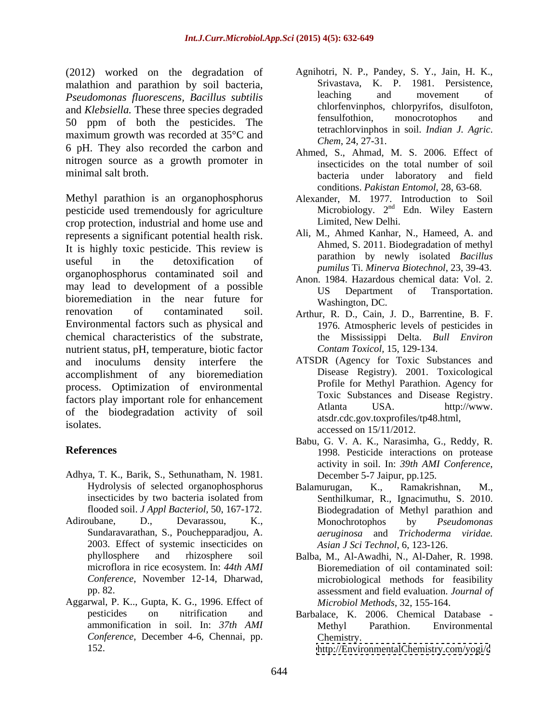(2012) worked on the degradation of malathion and parathion by soil bacteria, Silvastava, K. P. 1981. Persistence,<br> **Example 1988** Pseudomonas fluorescens Bacillus subtilis and have and hovement of *Pseudomonas fluorescens, Bacillus subtilis* and *Klebsiella*. These three species degraded<br>
<sup>chorrenvinghos, chorpyritos, disultoton,<br>
fensulfothion, monocrotophos and</sup> 50 ppm of both the pesticides. The maximum growth was recorded at 35°C and 6 pH. They also recorded the carbon and nitrogen source as a growth promoter in

Methyl parathion is an organophosphorus pesticide used tremendously for agriculture crop protection, industrial and home use and represents a significant potential health risk. It is highly toxic pesticide. This review is useful in the detoxification of  $\mu$  paramon by newly isolated *bactitus* organophosphorus contaminated soil and may lead to development of a possible<br>US Department of Transportation. bioremediation in the near future for renovation of contaminated soil. Arthur, R. D., Cain, J. D., Barrentine, B. F. Environmental factors such as physical and chemical characteristics of the substrate, nutrient status, pH, temperature, biotic factor and inoculums density interfere the ATSDR (Agency for Toxic Substances and accomplishment of any bioremediation process. Optimization of environmental factors play important role for enhancement<br>Atlanta USA. http://www. of the biodegradation activity of soil

- Adhya, T. K., Barik, S., Sethunatham, N. 1981.
- Adiroubane, D., Devarassou, K., Monochrotophos by *Pseudomonas* 2003. Effect of systemic insecticides on
- Aggarwal, P. K.., Gupta, K. G., 1996. Effect of *Conference*, December 4-6, Chennai, pp.
- Agnihotri, N. P., Pandey, S. Y., Jain, H. K., Srivastava, K. P. 1981. Persistence, leaching and movement of chlorfenvinphos, chlorpyrifos, disulfoton, fensulfothion, monocrotophos and tetrachlorvinphos in soil. *Indian J. Agric*. *Chem*, 24, 27-31.
- minimal salt broth. bacteria under laboratory and field Ahmed, S., Ahmad, M. S. 2006. Effect of insecticides on the total number of soil conditions. *Pakistan Entomol*, 28, 63-68.
	- Alexander, M. 1977. Introduction to Soil Microbiology.  $2^{nd}$  Edn. Wiley Eastern <sup>nd</sup> Edn. Wiley Eastern Limited, New Delhi.
	- Ali, M., Ahmed Kanhar, N., Hameed, A. and Ahmed, S. 2011. Biodegradation of methyl parathion by newly isolated *Bacillus pumilus* Ti. *Minerva Biotechnol*, 23, 39-43.
	- Anon. 1984. Hazardous chemical data: Vol. 2. US Department of Transportation. Washington, DC.
	- 1976. Atmospheric levels of pesticides in the Mississippi Delta. *Bull Environ Contam Toxicol,* 15, 129-134.
- isolates.  $\frac{1}{2}$  accessed on  $\frac{15}{11/2012}$ . Disease Registry). 2001. Toxicological Profile for Methyl Parathion. Agency for Toxic Substances and Disease Registry. Atlanta USA. http://www. atsdr.cdc.gov.toxprofiles/tp48.html,
- **References** 1998. Pesticide interactions on protease Babu, G. V. A. K., Narasimha, G., Reddy, R. activity in soil. In: *39th AMI Conference*, December 5-7 Jaipur, pp.125.
	- Hydrolysis of selected organophosphorus Balamurugan, K., Ramakrishnan, M., insecticides by two bacteria isolated from Senthilkumar, R., Ignacimuthu, S. 2010. flooded soil. *J Appl Bacteriol,* 50, 167-172. Biodegradation of Methyl parathion and Sundaravarathan, S., Pouchepparadjou, A. *aeruginosa* and *Trichoderma viridae.* Balamurugan, K., Ramakrishnan, M., Senthilkumar, R., Ignacimuthu, S. 2010. Monochrotophos by *Pseudomonas Asian J Sci Technol*, 6, 123-126.
	- phyllosphere and rhizosphere soil Balba, M., Al-Awadhi, N., Al-Daher, R. 1998. microflora in rice ecosystem. In: *44th AMI* Bioremediation of oil contaminated soil: Conference, November 12-14, Dharwad, microbiological methods for feasibility pp. 82. assessment and field evaluation. *Journal of Microbiol Methods*, 32, 155-164.
	- pesticides on nitrification and Barbalace, K. 2006. Chemical Database ammonification in soil. In: *37th AMI* Methyl Parathion. Environmental Chemistry.

152. <http://EnvironmentalChemistry.com/yogi/c>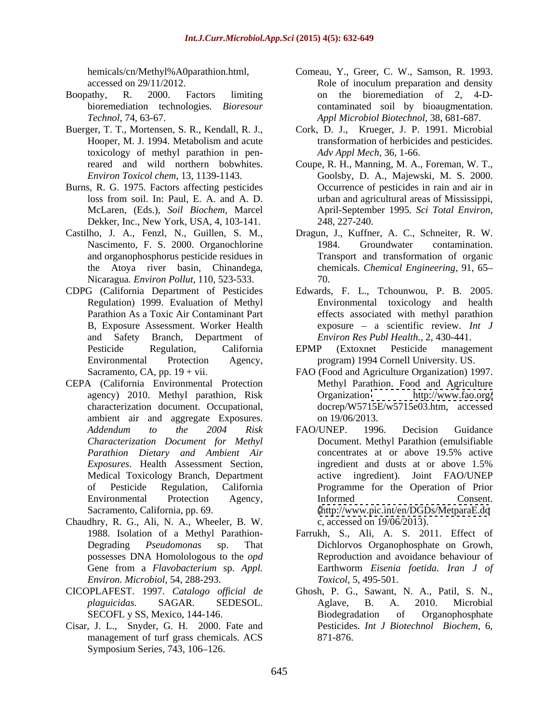- 
- toxicology of methyl parathion in pen-
- Burns, R. G. 1975. Factors affecting pesticides loss from soil. In: Paul, E. A. and A. D. McLaren, (Eds.), *Soil Biochem,* Marcel Dekker, Inc., New York, USA, 4, 103-141.
- Nicaragua*. Environ Pollut,* 110, 523-533.
- B, Exposure Assessment. Worker Health and Safety Branch, Department of
- CEPA (California Environmental Protection ambient air and aggregate Exposures. on 19/06/2013.
- Chaudhry, R. G., Ali, N. A., Wheeler, B. W. *Environ. Microbiol*, 54, 288-293.
- 
- Cisar, J. L., Snyder, G. H. 2000. Fate and management of turf grass chemicals. ACS Symposium Series, 743, 106-126.
- hemicals/cn/Methyl%A0parathion.html, Comeau, Y., Greer, C. W., Samson, R. 1993. accessed on 29/11/2012. Role of inoculum preparation and density Boopathy, R. 2000. Factors limiting on the bioremediation of 2, 4-Dbioremediation technologies*. Bioresour* contaminated soil by bioaugmentation. *Technol,* 74, 63-67. *Appl Microbiol Biotechnol,* 38, 681-687.
- Buerger, T. T., Mortensen, S. R., Kendall, R. J., Cork, D. J., Krueger, J. P. 1991. Microbial Hooper, M. J. 1994. Metabolism and acute transformation of herbicides and pesticides. *Adv Appl Mech,* 36, 1-66.
	- reared and wild northern bobwhites. Coupe, R. H., Manning, M. A., Foreman, W. T., *Environ Toxicol chem,* 13, 1139-1143. Goolsby, D. A., Majewski, M. S. 2000. Occurrence of pesticides in rain and air in urban and agricultural areas of Mississippi, April-September 1995*. Sci Total Environ,* 248, 227-240.
- Castilho, J. A., Fenzl, N., Guillen, S. M., Dragun, J., Kuffner, A. C., Schneiter, R. W. Nascimento, F. S. 2000. Organochlorine 1984. Groundwater contamination. and organophosphorus pesticide residues in Transport and transformation of organic the Atoya river basin, Chinandega, chemicals. *Chemical Engineering,* 91, 65 1984. Groundwater contamination. 70.
- CDPG (California Department of Pesticides Edwards, F. L.,Tchounwou, P. B. 2005. Regulation) 1999. Evaluation of Methyl Environmental toxicology and health Parathion As a Toxic Air Contaminant Part effects associated with methyl parathion exposure a scientific review. *Int J Environ Res Publ Health.,* 2, 430-441.
	- Pesticide Regulation, California EPMP (Extoxnet Pesticide management Environmental Protection Agency, program) 1994 Cornell University. US. EPMP (Extoxnet Pesticide management
	- Sacramento, CA, pp. 19 + vii. FAO (Food and Agriculture Organization) 1997. agency) 2010. Methyl parathion, Risk Crganization http://www.fao.org/ characterization document. Occupational, docrep/W5715E/w5715e03.htm, accessed Methyl Parathion. Food and Agriculture Organization <http://www.fao.org/> on 19/06/2013.
	- *Addendum to the 2004 Risk Characterization Document for Methyl* Document. Methyl Parathion (emulsifiable *Parathion Dietary and Ambient Air Exposures*. Health Assessment Section, Medical Toxicology Branch, Department active ingredient). Joint FAO/UNEP of Pesticide Regulation, California Programme for the Operation of Prior Environmental Protection Agency, Sacramento, California, pp. 69. [\(http://www.pic.int/en/DGDs/MetparaE.do](http://www.pic.int/en/DGDs/MetparaE.do) FAO/UNEP. 1996. Decision Guidance concentrates at or above 19.5% active ingredient and dusts at or above 1.5% Informed Consent. c, accessed on 19/06/2013).
	- 1988. Isolation of a Methyl Parathion- Farrukh, S., Ali, A. S. 2011. Effect of Degrading *Pseudomonas* sp. That Dichlorvos Organophosphate on Growh, possesses DNA Homolologous to the *opd* Reproduction and avoidance behaviour of Gene from a *Flavobacterium* sp. *Appl.*  Earthworm *Eisenia foetida. Iran J of Toxicol,* 5, 495-501.
- CICOPLAFEST. 1997. *Catalogo official de* Ghosh, P. G., Sawant, N. A., Patil, S. N., *plaguicidas.* SAGAR. SEDESOL. SECOFL y SS, Mexico, 144-146. Biodegradation of Organophosphate Aglave, B. A. 2010. Microbial Biodegradation of Organophosphate Pesticides. *Int J Biotechnol Biochem,* 6, 871-876.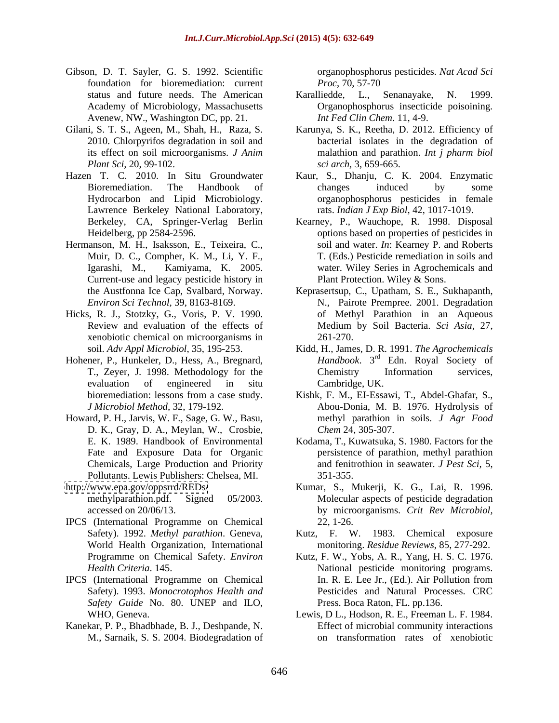- Gibson, D. T. Sayler, G. S. 1992. Scientific foundation for bioremediation: current *Proc*, 70, 57-70 Avenew, NW., Washington DC, pp. 21. *Int Fed Clin Chem.* 11, 4-9.
- 
- Lawrence Berkeley National Laboratory,
- Hermanson, M. H., Isaksson, E., Teixeira, C., Muir, D. C., Compher, K. M., Li, Y. F., Current-use and legacy pesticide history in
- Hicks, R. J., Stotzky, G., Voris, P. V. 1990. xenobiotic chemical on microorganisms in
- Hohener, P., Hunkeler, D., Hess, A., Bregnard,
- Howard, P. H., Jarvis, W. F., Sage, G. W., Basu, D. K., Gray, D. A., Meylan, W., Crosbie, Pollutants. Lewis Publishers: Chelsea, MI.
- 
- IPCS (International Programme on Chemical World Health Organization, International
- *Safety Guide* No. 80. UNEP and ILO,
- Kanekar, P. P., Bhadbhade, B. J., Deshpande, N. M., Sarnaik, S. S. 2004. Biodegradation of

organophosphorus pesticides. *Nat Acad Sci Proc*, 70, 57-70

- status and future needs. The American Karalliedde, L., Senanayake, N. 1999. Academy of Microbiology, Massachusetts **Organophosphorus** insecticide poisoining. Karalliedde, L., Senanayake, N. 1999. Organophosphorus insecticide poisoining*. Int Fed Clin Chem*. 11, 4-9.
- Gilani, S. T. S., Ageen, M., Shah, H., Raza, S. Karunya, S. K., Reetha, D. 2012. Efficiency of 2010. Chlorpyrifos degradation in soil and bacterial isolates in the degradation of its effect on soil microorganisms. *J Anim* malathion and parathion. *Int j pharm biol Plant Sci,* 20, 99-102. *sci arch,* 3, 659-665.
- Hazen T. C. 2010. In Situ Groundwater Kaur, S., Dhanju, C. K. 2004. Enzymatic Bioremediation. The Handbook of changes induced by some Hydrocarbon and Lipid Microbiology. organophosphorus pesticides in female changes induced by some rats. *Indian J Exp Biol,* 42, 1017-1019.
	- Berkeley, CA, Springer-Verlag Berlin Kearney, P., Wauchope, R. 1998. Disposal Heidelberg, pp 2584-2596. options based on properties of pesticides in Igarashi, M., Kamiyama, K. 2005. water. Wiley Series in Agrochemicals and soil and water. *In*: Kearney P. and Roberts T. (Eds.) Pesticide remediation in soils and Plant Protection. Wiley & Sons.
	- the Austfonna Ice Cap, Svalbard, Norway. Keprasertsup, C., Upatham, S. E., Sukhapanth, *Environ Sci Technol,* 39, 8163-8169. N., Pairote Prempree. 2001. Degradation Review and evaluation of the effects of Medium by Soil Bacteria. *Sci Asia*, 27, of Methyl Parathion in an Aqueous 261-270.
	- soil. *Adv Appl Microbiol*, 35, 195-253. Kidd, H., James, D. R. 1991. *The Agrochemicals*  T., Zeyer, J. 1998. Methodology for the Chemistry Information services, evaluation of engineered in situ *Handbook*. 3<sup>rd</sup> Edn. Royal Society of <sup>rd</sup> Edn. Royal Society of Chemistry Information services, Cambridge, UK.
	- bioremediation: lessons from a case study. Kishk, F. M., EI-Essawi, T., Abdel-Ghafar, S., *J Microbiol Method*, 32, 179-192. Abou-Donia, M. B. 1976. Hydrolysis of methyl parathion in soils. *J Agr Food Chem* 24, 305-307.
	- E. K. 1989. Handbook of Environmental Kodama, T., Kuwatsuka, S. 1980. Factors for the Fate and Exposure Data for Organic **persistence** of parathion, methyl parathion Chemicals, Large Production and Priority and fenitrothion in seawater. *J Pest Sci,* 5, 351-355.
- <http://www.epa.gov/oppsrrd/REDs/> Kumar, S., Mukerji, K. G., Lai, R. 1996. methylparathion.pdf. Signed 05/2003. Molecular aspects of pesticide degradation accessed on 20/06/13. by microorganisms. *Crit Rev Microbiol,* 22, 1-26.
	- Safety). 1992. *Methyl parathion*. Geneva, Kutz, F. W. 1983. Chemical exposure monitoring. *Residue Reviews*, 85, 277-292.
- Programme on Chemical Safety. *Environ*  Kutz, F. W., Yobs, A. R., Yang, H. S. C. 1976. *Health Criteria*. 145. National pesticide monitoring programs. IPCS (International Programme on Chemical Safety). 1993. *Monocrotophos Health and* Pesticides and Natural Processes. CRC In. R. E. Lee Jr., (Ed.). Air Pollution from Press. Boca Raton, FL. pp.136.
	- WHO, Geneva. Lewis, D L., Hodson, R. E., Freeman L. F. 1984. Effect of microbial community interactions on transformation rates of xenobiotic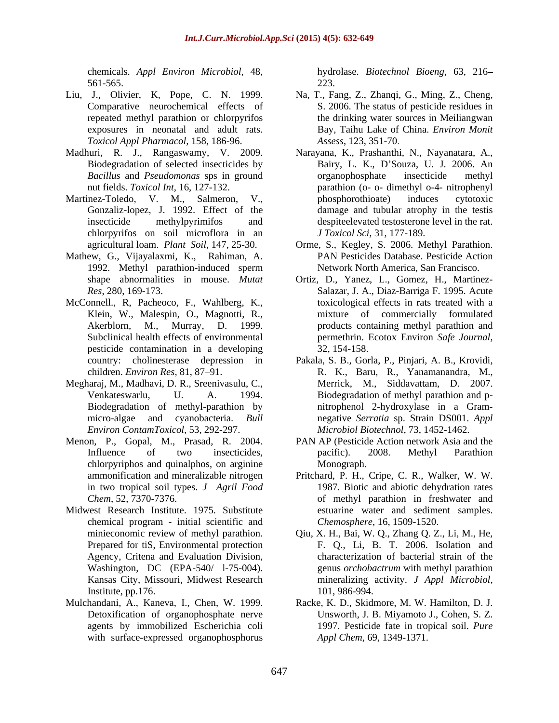561-565.

- *Toxicol Appl Pharmacol,* 158, 186-96.
- 
- chlorpyrifos on soil microflora in an
- Mathew, G., Vijayalaxmi, K., Rahiman, A.
- McConnell., R, Pacheoco, F., Wahlberg, K., pesticide contamination in a developing
- Megharaj, M., Madhavi, D. R., Sreenivasulu, C.,
- Menon, P., Gopal, M., Prasad, R. 2004. chlorpyriphos and quinalphos, on arginine in two tropical soil types. *J Agril Food*
- Midwest Research Institute. 1975. Substitute chemical program - initial scientific and Agency, Critena and Evaluation Division, Institute, pp. 176. 101, 986-994.
- with surface-expressed organophosphorus

chemicals. *Appl Environ Microbiol,* 48, hydrolase. *Biotechnol Bioeng,* 63, 216 223.

- Liu, J., Olivier, K, Pope, C. N. 1999. Na, T., Fang, Z., Zhanqi, G., Ming, Z., Cheng, Comparative neurochemical effects of S. 2006. The status of pesticide residues in repeated methyl parathion or chlorpyrifos the drinking water sources in Meiliangwan exposures in neonatal and adult rats. Bay, Taihu Lake of China. *Environ Monit Assess*, 123, 351-70.
- Madhuri, R. J., Rangaswamy, V. 2009. Narayana, K., Prashanthi, N., Nayanatara, A., Biodegradation of selected insecticides by Bairy, L. K., D Souza, U. J. 2006. An *Bacillus* and *Pseudomonas* sps in ground nut fields. *Toxicol Int*, 16, 127-132. parathion (o- o- dimethyl o-4- nitrophenyl Martinez-Toledo, V. M., Salmeron, V., bhosphorothioate) induces cytotoxic Gonzaliz-lopez, J. 1992. Effect of the damage and tubular atrophy in the testis insecticide methylpyrimifos and despiteelevated testosterone level in the rat. organophosphate insecticide methyl phosphorothioate) induces cytotoxic *J Toxicol Sci,* 31, 177-189.
	- agricultural loam. *Plant Soil*, 147, 25-30. Orme, S., Kegley, S. 2006. Methyl Parathion. 1992. Methyl parathion-induced sperm Network North America, San Francisco. PAN Pesticides Database. Pesticide Action Network North America, San Francisco.
	- shape abnormalities in mouse. *Mutat*  Ortiz, D., Yanez, L., Gomez, H., Martinez- *Res*, 280, 169-173. Salazar, J. A., Diaz-Barriga F. 1995. Acute Klein, W., Malespin, O., Magnotti, R., Akerblorn, M., Murray, D. 1999. products containing methyl parathion and Subclinical health effects of environmental entity between permethrin. Ecotox Environ Safe Journal, toxicological effects in rats treated with a mixture of commercially formulated permethrin. Ecotox Environ *Safe Journal*, 32, 154-158.
	- country: cholinesterase depression in Pakala, S. B., Gorla, P., Pinjari, A. B., Krovidi, children. *Environ Res,* 81, 87 91. R. K., Baru, R., Yanamanandra, M., Venkateswarlu, U. A. 1994. Biodegradation of methyl parathion and p- Biodegradation of methyl-parathion by nitrophenol 2-hydroxylase in a Gram micro-algae and cyanobacteria. *Bull*  negative *Serratia* sp. Strain DS001. *Appl Environ ContamToxicol*, 53, 292-297. *Microbiol Biotechnol*, 73, 1452-1462. Merrick, M., Siddavattam, D. 2007.
	- Influence of two insecticides, pacific). 2008. Methyl Parathion PAN AP (Pesticide Action network Asia and the pacific). 2008. Methyl Parathion Monograph. **Example 2018**
	- ammonification and mineralizable nitrogen Pritchard, P. H., Cripe, C. R., Walker, W. W. *Chem*, 52, 7370-7376. of methyl parathion in freshwater and 1987. Biotic and abiotic dehydration rates estuarine water and sediment samples. *Chemosphere*, 16, 1509-1520.
	- minieconomic review of methyl parathion. Qiu, X. H., Bai, W. Q., Zhang Q. Z., Li, M., He, Prepared for tiS, Environmental protection F. Q., Li, B. T. 2006. Isolation and Washington, DC (EPA-540/ l-75-004). genus *orchobactrum* with methyl parathion Kansas City, Missouri, Midwest Research mineralizing activity. J Appl Microbiol, characterization of bacterial strain of the mineralizing activity. *<sup>J</sup> Appl Microbiol*, 101, 986-994.
- Mulchandani, A., Kaneva, I., Chen, W. 1999. Racke, K. D., Skidmore, M. W. Hamilton, D. J. Detoxification of organophosphate nerve Unsworth, J. B. Miyamoto J., Cohen, S. Z. agents by immobilized Escherichia coli 1997. Pesticide fate in tropical soil. *Pure Appl Chem*, 69, 1349-1371.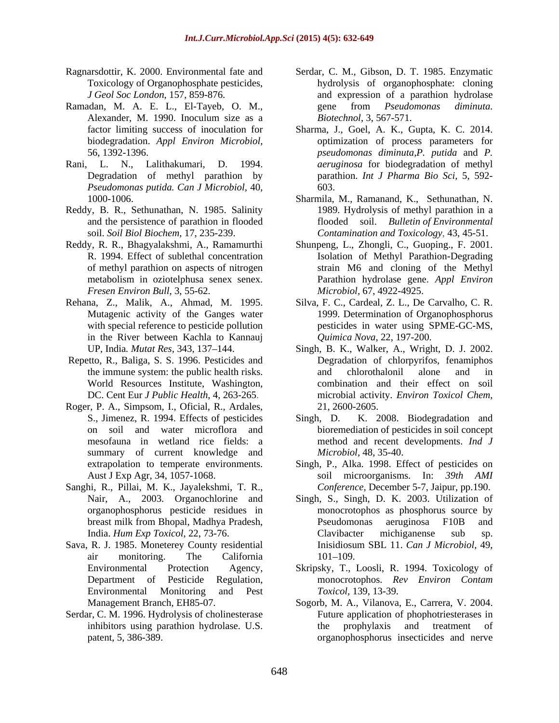- 
- Ramadan, M. A. E. L., El-Tayeb, O. M., eene from *Pseudomonas diminuta*.
- *Pseudomonas putida. Can <sup>J</sup> Microbiol,* 40, 1000-1006.
- Reddy, B. R., Sethunathan, N. 1985. Salinity
- *Fresen Environ Bull*, 3, 55-62.
- Rehana, Z., Malik, A., Ahmad, M. 1995. in the River between Kachla to Kannauj
- Repetto, R., Baliga, S. S. 1996. Pesticides and
- Roger, P. A., Simpsom, I., Oficial, R., Ardales, S., Jimenez, R. 1994. Effects of pesticides Singh, D. summary of current knowledge and
- Sanghi, R., Pillai, M. K., Jayalekshmi, T. R.,
- Sava, R. J. 1985. Moneterey County residential air monitoring. The California
- Serdar, C. M. 1996. Hydrolysis of cholinesterase
- Ragnarsdottir, K. 2000. Environmental fate and Serdar, C. M., Gibson, D. T. 1985. Enzymatic Toxicology of Organophosphate pesticides, hydrolysis of organophosphate: cloning *J Geol Soc London*, 157, 859-876. and expression of a parathion hydrolase Alexander, M. 1990. Inoculum size as a Biotechnol, 3, 567-571. gene from *Pseudomonas diminuta. Biotechnol*, 3, 567-571.
- factor limiting success of inoculation for Sharma, J., Goel, A. K., Gupta, K. C. 2014. biodegradation. *Appl Environ Microbiol,* optimization of process parameters for 56, 1392-1396. *pseudomonas diminuta,P. putida* and *P.*  Rani, L. N., Lalithakumari, D. 1994. *aeruginosa* for biodegradation of methyl Degradation of methyl parathion by parathion. *Int J Pharma Bio Sci,* 5, 592- 603.
	- and the persistence of parathion in flooded flooded soil. *Bulletin of Environmental*  soil. *Soil Biol Biochem,* 17, 235-239. *Contamination and Toxicology,* 43, 45-51. Sharmila, M., Ramanand, K., Sethunathan, N. 1989. Hydrolysis of methyl parathion in a
- Reddy, R. R., Bhagyalakshmi, A., Ramamurthi Shunpeng, L., Zhongli, C., Guoping., F. 2001. R. 1994. Effect of sublethal concentration Isolation of Methyl Parathion-Degrading of methyl parathion on aspects of nitrogen strain M6 and cloning of the Methyl metabolism in oziotelphusa senex senex. Parathion hydrolase gene. *Appl Environ Microbiol,* 67, 4922-4925.
	- Mutagenic activity of the Ganges water 1999. Determination of Organophosphorus with special reference to pesticide pollution pesticides in water using SPME-GC-MS, Silva, F. C., Cardeal, Z. L., De Carvalho, C. R. *Quimica Nova*, 22, 197-200.
	- UP, India*. Mutat Res,* 343, 137 144. Singh, B. K., Walker, A., Wright, D. J. 2002. the immune system: the public health risks. World Resources Institute, Washington, combination and their effect on soil DC. Cent Eur *J Public Health*, 4, 263-265. microbial activity. *Environ Toxicol Chem,* Degradation of chlorpyrifos, fenamiphos and chlorothalonil alone and in 21, 2600-2605.
	- on soil and water microflora and bioremediation of pesticides in soil concept mesofauna in wetland rice fields: a method and recent developments. *Ind J* K. 2008. Biodegradation and *Microbiol,* 48, 35-40.
	- extrapolation to temperate environments. Singh, P., Alka. 1998. Effect of pesticides on Aust J Exp Agr, 34, 1057-1068. soil microorganisms. In: *39th AMI Conference*, December 5-7, Jaipur, pp.190.
	- Nair, A., 2003. Organochlorine and Singh, S., Singh, D. K. 2003. Utilization of organophosphorus pesticide residues in monocrotophos as phosphorus source by breast milk from Bhopal, Madhya Pradesh, India. *Hum Exp Toxicol,* 22, 73-76. Pseudomonas aeruginosa F10B and Clavibacter michiganense sub sp. Inisidiosum SBL 11. *Can J Microbiol,* 49, 101–109.
	- Environmental Protection Agency, Skripsky, T., Loosli, R. 1994. Toxicology of Department of Pesticide Regulation, monocrotophos. *Rev Environ Contam* Environmental Monitoring and Pest Toxicol, 139, 13-39. *Toxicol,* 139, 13-39.
	- Management Branch, EH85-07. Sogorb, M. A., Vilanova, E., Carrera, V. 2004. inhibitors using parathion hydrolase. U.S. The prophylaxis and treatment of patent, 5, 386-389. organophosphorus insecticides and nerveFuture application of phophotriesterases in prophylaxis and treatment